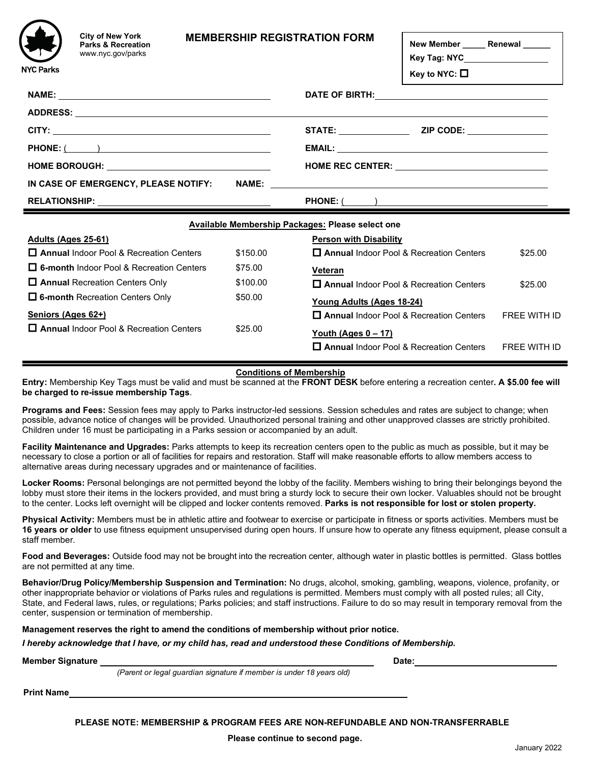

**City of New York Parks & Recreation** www.nyc.gov/parks

### **MEMBERSHIP REGISTRATION FORM**

**New Member \_\_\_\_\_ Renewal \_\_\_\_\_\_**

**Key Tag: NYC Key to NYC:** 

| NAME: 2008 2010 2020 2021 2022 2023 2024 2022 2022 2023 2024 2022 2023 2024 2022 2023 2024 2022 2023 2024 2022 |          |                                                                               |                     |
|----------------------------------------------------------------------------------------------------------------|----------|-------------------------------------------------------------------------------|---------------------|
|                                                                                                                |          |                                                                               |                     |
|                                                                                                                |          |                                                                               |                     |
|                                                                                                                |          |                                                                               |                     |
| HOME BOROUGH: ___________________________________                                                              |          | HOME REC CENTER: _________________________________                            |                     |
|                                                                                                                |          |                                                                               |                     |
|                                                                                                                |          | <b>PHONE:</b> ( )                                                             |                     |
| Available Membership Packages: Please select one                                                               |          |                                                                               |                     |
|                                                                                                                |          |                                                                               |                     |
| <u><b>Adults (Ages 25-61)</b></u>                                                                              |          | <b>Person with Disability</b>                                                 |                     |
| $\Box$ Annual Indoor Pool & Recreation Centers                                                                 | \$150.00 | $\Box$ Annual Indoor Pool & Recreation Centers                                | \$25.00             |
| $\Box$ 6-month Indoor Pool & Recreation Centers                                                                | \$75.00  | Veteran                                                                       |                     |
| $\Box$ Annual Recreation Centers Only                                                                          | \$100.00 | <b>D</b> Annual Indoor Pool & Recreation Centers                              | \$25.00             |
| $\Box$ 6-month Recreation Centers Only                                                                         | \$50.00  |                                                                               |                     |
| Seniors (Ages 62+)                                                                                             |          | <u>Young Adults (Ages 18-24)</u><br>□ Annual Indoor Pool & Recreation Centers | <b>FREE WITH ID</b> |
| $\Box$ Annual Indoor Pool & Recreation Centers                                                                 | \$25.00  | Youth (Ages $0 - 17$ )                                                        |                     |

#### **Conditions of Membership**

**Entry:** Membership Key Tags must be valid and must be scanned at the **FRONT DESK** before entering a recreation center**. A \$5.00 fee will be charged to re-issue membership Tags**.

**Programs and Fees:** Session fees may apply to Parks instructor-led sessions. Session schedules and rates are subject to change; when possible, advance notice of changes will be provided. Unauthorized personal training and other unapproved classes are strictly prohibited. Children under 16 must be participating in a Parks session or accompanied by an adult.

**Facility Maintenance and Upgrades:** Parks attempts to keep its recreation centers open to the public as much as possible, but it may be necessary to close a portion or all of facilities for repairs and restoration. Staff will make reasonable efforts to allow members access to alternative areas during necessary upgrades and or maintenance of facilities.

**Locker Rooms:** Personal belongings are not permitted beyond the lobby of the facility. Members wishing to bring their belongings beyond the lobby must store their items in the lockers provided, and must bring a sturdy lock to secure their own locker. Valuables should not be brought to the center. Locks left overnight will be clipped and locker contents removed. **Parks is not responsible for lost or stolen property.**

**Physical Activity:** Members must be in athletic attire and footwear to exercise or participate in fitness or sports activities. Members must be **16 years or older** to use fitness equipment unsupervised during open hours. If unsure how to operate any fitness equipment, please consult a staff member.

**Food and Beverages:** Outside food may not be brought into the recreation center, although water in plastic bottles is permitted. Glass bottles are not permitted at any time.

**Behavior/Drug Policy/Membership Suspension and Termination:** No drugs, alcohol, smoking, gambling, weapons, violence, profanity, or other inappropriate behavior or violations of Parks rules and regulations is permitted. Members must comply with all posted rules; all City, State, and Federal laws, rules, or regulations; Parks policies; and staff instructions. Failure to do so may result in temporary removal from the center, suspension or termination of membership.

**Date:**

**Management reserves the right to amend the conditions of membership without prior notice.**

*I hereby acknowledge that I have, or my child has, read and understood these Conditions of Membership.*

**Member Signature**

 *(Parent or legal guardian signature if member is under 18 years old)*

**Print Name**

**PLEASE NOTE: MEMBERSHIP & PROGRAM FEES ARE NON-REFUNDABLE AND NON-TRANSFERRABLE**

**Please continue to second page.**